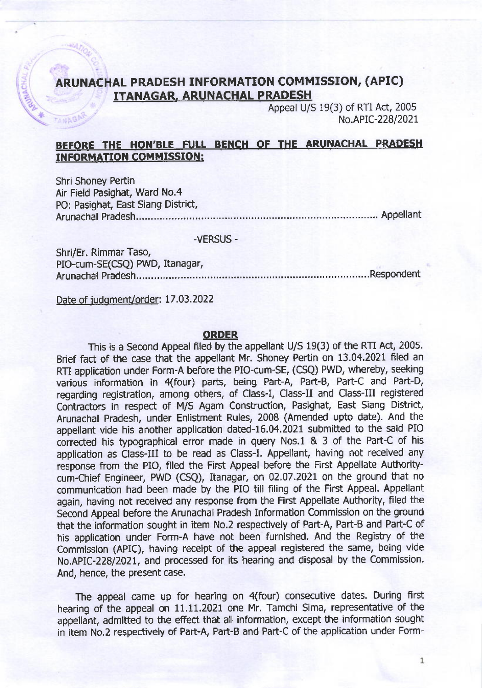### ARUNACHAL PRADESH INFORMATTON COMMTSSION, (APIC) ITANAGAR, ARUNACHAL PRADESH

Appeal U/S 19(3) of RTI Act, 2005 No.APIC-228/2021

## BEFORE THE HON'BLE FULL BENCH OF THE ARUNACHAL PRADESH INFORMATION COMMISSION:

Shri Shoney Pertin Air Field Pasighat, Ward No.4 PO: Pasighat, East Siang District, Arunachal Pradesh..'...,"' """ Appellant

**ANAG** 

#### -VERSUS -

Shri/Er. Rimmar Taso, PIO-cum-SE(CSQ) PwD, Itanagar, Arunachal Pradesh..,....... '..Respondent

Date of judgment/order: 17.03.2022

#### ORDER

This is a Second Appeal filed by the appellant U/S 19(3) of the RTI Act, 2005. Brief fact of the case that the appellant Mr. Shoney Pertin on 13.04.2021 filed an RTI application under Form-A before the PIO-cum-SE, (CSQ) PWD, whereby, seeking various information in 4(four) parts, being Part-A, Part-B, Part-C and Part-D, regarding registration, among others, of Class-I, Class-II and Class-III registered Contractors in respect of M/S Agam Construction, Pasighat, East Siang District, Arunachal Pradesh, under Enlistment Rules, 2008 (Amended upto date). And the appellant vide his another application dated-16.04.2021 submitted to the said PIO corrected his typographical error made in query Nos.1 & 3 of the Part-C of his application as Class-III to be read as Class-I. Appellant, having not received any response from the PIO, filed the First Appeal before the First Appellate Authoritycum-Chief Engineer, PWD (CSQ), Itanagar, on 02.07.2021 on the ground that no communication had been made by the PIO till filing of the First Appeal. Appellant again, having not received any response from the First Appellate Authority, filed the Second Appeal before the Arunachal Pradesh Information Commission on the ground that the information sought in item No.2 respectively of Part-A, Part-B and Part-C of his application under Form-A have not been furnished. And the Registry of the Commission (APIC), having receipt of the appeal registered the same, being vide No.APIC-228/2021, and processed for its hearing and disposal by the Commission. And, hence, the present case.

The appeal came up for hearing on 4(four) consecutive dates. During first hearing of the appeal on 11.11.2021 one Mr. Tamchi Sima, representative of the appellant, admitted to the effect that all information, except the information sought in item No.2 respectively of Part-A, Part-B and Part-C of the application under Form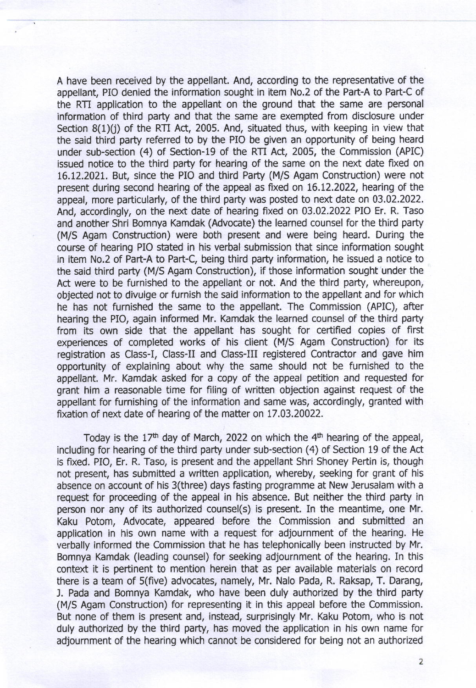A have been received by the appellant. And, according to the representative of the appellant, PIO denied the information sought in item No.2 of the Part-A to Part-C of the RTI application to the appellant on the ground that the same are personal information of third party and that the same are exempted from disclosure under Section 8(1)(i) of the RTI Act, 2005. And, situated thus, with keeping in view that the said third party referred to by the PIO be given an opportunity of being heard under sub-section (4) of Section-19 of the RTI Act, 2005, the Commission (APIC) issued notice to the third party for hearing of the same on the next date fixed on 16.12.2021. But, since the PIO and third Party (M/S Agam Construction) were not present during second hearing of the appeal as fixed on 16.12.2022, hearing of the appeal, more particularly, of the third party was posted to next date on 03.02.2022. And, accordingly, on the next date of hearing fixed on 03.02.2022 PIO Er. R. Taso and another Shri Bomnya Kamdak (Advocate) the learned counsel for the third pafty (M/S Agam Construction) were both present and were being heard. During the course of hearing PIO stated in his verbal submission that since information sought in item No.2 of Paft-A to Part-C, being third party information, he issued a notice to the said third party (M/S Agam Construction), if those information sought under the Act were to be furnished to the appellant or not. And the third party, whereupon, objected not to divulge or furnish the said information to the appellant and for which he has not furnished the same to the appellant. The Commission (APIC), after hearing the PIO, again informed Mr. Kamdak the learned counsel of the third party from its own side that the appellant has sought for certified copies of first experiences of completed works of his client (M/S Agam Construction) for its registration as Class-I, Class-II and Class-III registered Contractor and gave him opportunity of explaining about why the same should not be furnished to the appellant. Mr. Kamdak asked for a copy of the appeal petition and requested for grant him a reasonable time for filing of written objection against request of the appellant for furnishing of the information and same was, accordingly, granted with fixation of next date of hearing of the matter on 17.03.20022.

Today is the  $17<sup>th</sup>$  day of March, 2022 on which the  $4<sup>th</sup>$  hearing of the appeal, including for hearing of the third party under sub-section (4) of Section 19 of the Act is fixed. PIO, Er. R. Taso, is present and the appellant Shri Shoney Petin is, though not present, has submitted a written application, whereby, seeking for grant of his absence on account of his 3(three) days fasting programme at New Jerusalam with <sup>a</sup> request for proceeding of the appeal in his absence. But neither the third party in person nor any of its authorized counsel(s) is present. In the meantime, one Mr. Kaku Potom, Advocate, appeared before the Commission and submitted an application in his own name with a request for adjournment of the hearing. He verbally informed the Commission that he has telephonically been instructed by Mr. Bomnya Kamdak (leading counsel) for seeking adjournment of the hearing. In this context it is pertinent to mention herein that as per available materials on record there is a team of S(five) advocates, namely, Mr. Nalo Pada, R. Raksap, T. Darang, J. Pada and Bomnya Kamdak, who have been duly authorized by the third party (M/S Agam Construction) for representing it in this appeal before the Commission. But none of them is present and, instead, surprisingly Mr. Kaku Potom, who is not duly authorized by the third party, has moved the application in his own name for adjournment of the hearing which cannot be considered for being not an authorized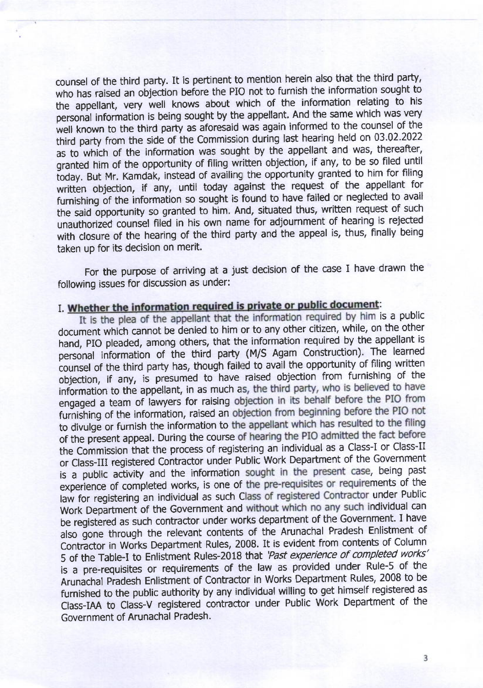counsel of the third party. It is pertinent to mention herein also that the third party, who has raised an objection before the PIo not to furnish the information sought to the appellant, very well knows about which of the information relating to his personal information is being sought by the appellant. And the same which was very well known to the third party as aforesaid was again informed to the counsel of the third party from the side of the Commission during last hearing held on 03.02.2022 as to which of the information was sought by the appellant and was, thereafter, granted him of the opportunity of filing written objection, if any, to be so filed until today. But Mr. Kamdak, instead of availing the opportunity granted to him for filing written objection, if any, until today against the request of the appellant for furnishing of the information so sought is found to have failed or neglected to avail the said opportunity so granted to him. And, situated thus, written request of such unauthorized counsel filed in his own name for adjournment of hearing is rejected with closure of the hearing of the third party and the appeal is, thus, finally being taken up for its decision on merit.

For the purpose of arriving at a just decision of the case I have drawn the following issues for discussion as under:

## I. Whether the information required is private or public document:

It is the plea of the appellant that the information required by him is a public document which cannot be denied to him or to any other citizen, while, on the other hand, PIO pleaded, among others, that the information required by the appellant is personal information of the third party (M/S Agam Construction). The learned counsel of the third party has, though failed to avail the opportunity of filing written objection, if any, is presumed to have raised objection from furnishing of the information to the appellant, in as much as, the third party, who is believed to have engaged a team of lawyers for raising objection in its behalf before the PIO from furnishing of the information, raised an objection from beginning before the PIO not to divulge or furnish the information to the appellant which has resulted to the filing of the present appeal. During the course of hearing the PIO admitted the fact before the Commission that the process of registering an individual as a Class-I or Class-II or Class-III registered Contractor under Public Work Department of the Government is a public activity and the information sought in the present case, being past Experience of completed works, is one of the pre-requirement contractor under Public<br>law for registering an individual as such Class of registered Contractor under Public experience of completed works, is one of the pre-requisites or requirements of the Work Department of the Government and without which no any such individual can be registered as such contractor under works department of the Government. I have also gone through the relevant contents of the Arunachal Pradesh Enlistment of Contractor in Works Department Rules, 2008. It is evident from contents of Column 5 of the Table-I to Enlistment Rules-2018 that 'Past experience of completed works' is a pre-requisites or requirements of the law as provided under Rule-5 of the Arunachal piadesh Enlistment of Contractor in Works Department Rules, 2008 to be furnished to the public authority by any individual willing to get himself registered as class-IM to class-v registered contractor under Public work Department of the Government of Arunachal Pradesh.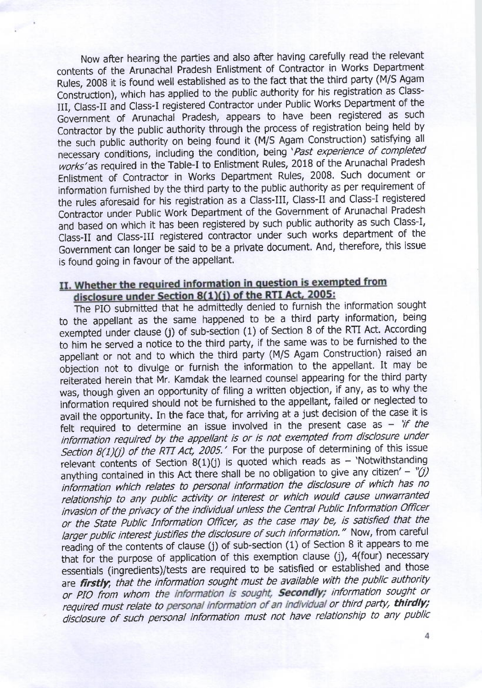Now after hearing the parties and also after having carefully read the relevant contents of the Arunachal Pradesh Enlistment of Contractor in Works Department Rules, 2008 it is found well established as to the fact that the third party (M/S Agam Construction), which has applied to the public authority for his registration as Class-III, Class-II and Class-I registered Contractor under Public Works Department of the Government of Arunachal Pradesh, appears to have been registered as such Contractor by the public authority through the process of registration being held by the such public authority on being found it (M/S Agam construction) satisfying all necessary conditions, including the condition, being'Past experience of completed works'as required in the Table-I to Enlistment Rules, 2018 of the Arunachal Pradesh Enlistment of Contractor in Works Department Rules, 2008. Such document or information furnished by the third party to the public authority as per requirement of the rules aforesaid for his registration as a Class-III, Class-Il and Class-l registered Contractor under Public Work Department of the Government of Arunachal Pradesh and based on which it has been registered by such public authority as such Class-l, Class-II and Class-III registered contractor under such works department of the Government can longer be said to be a private document. And, therefore, this issue is found going in favour of the appellant.

# II. Whether the required information in question is exempted from disclosure under Section 8(1)(j) of the RTI Act, 2005:<br>The PIO submitted that he admittedly denied to furnish the information sought

to the appellant as the same happened to be a third party information, being exempted under clause (j) of sub-section (1) of Section 8 of the RTI Act. According to him he served a notice to the third party, if the same was to be furnished to the appellant or not and to which the third party (M/S Agam Construction) raised an objection not to divulge or furnish the information to the appellant. It may be reiterated herein that Mr. Kamdak the learned counsel appearing for the third party was, though given an opportunity of filing a written objection, if any, as to why the information required should not be furnished to the appellant, failed or neglected to avail the opportunity. In the face that, for arriving at a just decision of the case it is felt required to determine an issue involved in the present case as - 'if the information required by the appellant is or is not exempted from disclosure under Section  $8(1)(j)$  of the RTI Act, 2005.' For the purpose of determining of this issue relevant contents of Section  $8(1)(j)$  is quoted which reads as - 'Notwithstanding anything contained in this Act there shall be no obligation to give any citizen' - " $(i)$ information which relates to personal information the disclosure of which has no relationship to any public activity or interest or which would cause unwarranted invasion of the privacy of the individual unless the Central Public Information Officer or the state Public Information officer, as the case may be, is satisfied that the larger public interest justifies the disclosure of such information." Now, from careful reading of the contents of clause (j) of sub-section (1) of Section 8 it appears to me that for the purpose of application of this exemption clause (j), 4(four) necessary essentials (ingredients)/tests are required to be satisfied or established and those are firstly, that the information sought must be available with the public authority or PIO from whom the information is sought, **Secondly**; information sought or required must relate to personal information of an individual or third party, thirdly; disclosure of such personal information must not have relationship to any public